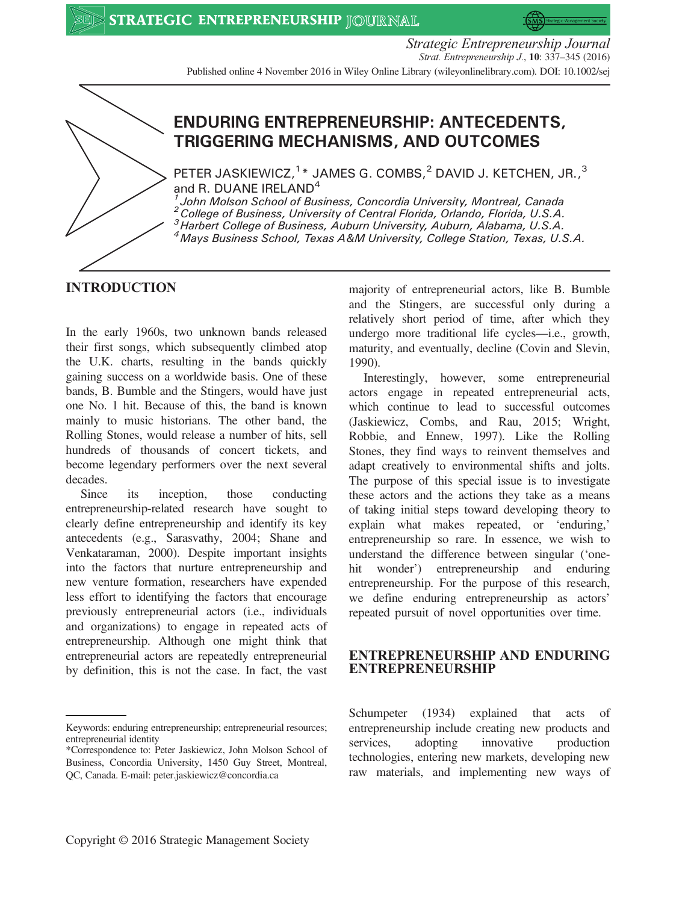

Strategic Entrepreneurship Journal Strat. Entrepreneurship J., 10: 337–345 (2016)

Published online 4 November 2016 in Wiley Online Library (wileyonlinelibrary.com). DOI: 10.1002/sej



# ENDURING ENTREPRENEURSHIP: ANTECEDENTS, TRIGGERING MECHANISMS, AND OUTCOMES

PETER JASKIEWICZ,<sup>1</sup>\* JAMES G. COMBS,<sup>2</sup> DAVID J. KETCHEN, JR.,<sup>3</sup> and R. DUANE IRELAND<sup>4</sup>

 $\frac{1}{2}$ John Molson School of Business, Concordia University, Montreal, Canada 2College of Business, University of Central Florida, Orlando, Florida, U.S.A.  $3$  Harbert College of Business, Auburn University, Auburn, Alabama, U.S.A. <sup>4</sup> Mays Business School, Texas A&M University, College Station, Texas, U.S.A.

# INTRODUCTION

In the early 1960s, two unknown bands released their first songs, which subsequently climbed atop the U.K. charts, resulting in the bands quickly gaining success on a worldwide basis. One of these bands, B. Bumble and the Stingers, would have just one No. 1 hit. Because of this, the band is known mainly to music historians. The other band, the Rolling Stones, would release a number of hits, sell hundreds of thousands of concert tickets, and become legendary performers over the next several decades.

Since its inception, those conducting entrepreneurship-related research have sought to clearly define entrepreneurship and identify its key antecedents (e.g., Sarasvathy, 2004; Shane and Venkataraman, 2000). Despite important insights into the factors that nurture entrepreneurship and new venture formation, researchers have expended less effort to identifying the factors that encourage previously entrepreneurial actors (i.e., individuals and organizations) to engage in repeated acts of entrepreneurship. Although one might think that entrepreneurial actors are repeatedly entrepreneurial by definition, this is not the case. In fact, the vast majority of entrepreneurial actors, like B. Bumble and the Stingers, are successful only during a relatively short period of time, after which they undergo more traditional life cycles—i.e., growth, maturity, and eventually, decline (Covin and Slevin, 1990).

Interestingly, however, some entrepreneurial actors engage in repeated entrepreneurial acts, which continue to lead to successful outcomes (Jaskiewicz, Combs, and Rau, 2015; Wright, Robbie, and Ennew, 1997). Like the Rolling Stones, they find ways to reinvent themselves and adapt creatively to environmental shifts and jolts. The purpose of this special issue is to investigate these actors and the actions they take as a means of taking initial steps toward developing theory to explain what makes repeated, or 'enduring,' entrepreneurship so rare. In essence, we wish to understand the difference between singular ('onehit wonder') entrepreneurship and enduring entrepreneurship. For the purpose of this research, we define enduring entrepreneurship as actors' repeated pursuit of novel opportunities over time.

# ENTREPRENEURSHIP AND ENDURING ENTREPRENEURSHIP

Schumpeter (1934) explained that acts of entrepreneurship include creating new products and services, adopting innovative production technologies, entering new markets, developing new raw materials, and implementing new ways of

Keywords: enduring entrepreneurship; entrepreneurial resources; entrepreneurial identity

<sup>\*</sup>Correspondence to: Peter Jaskiewicz, John Molson School of Business, Concordia University, 1450 Guy Street, Montreal, QC, Canada. E-mail: peter.jaskiewicz@concordia.ca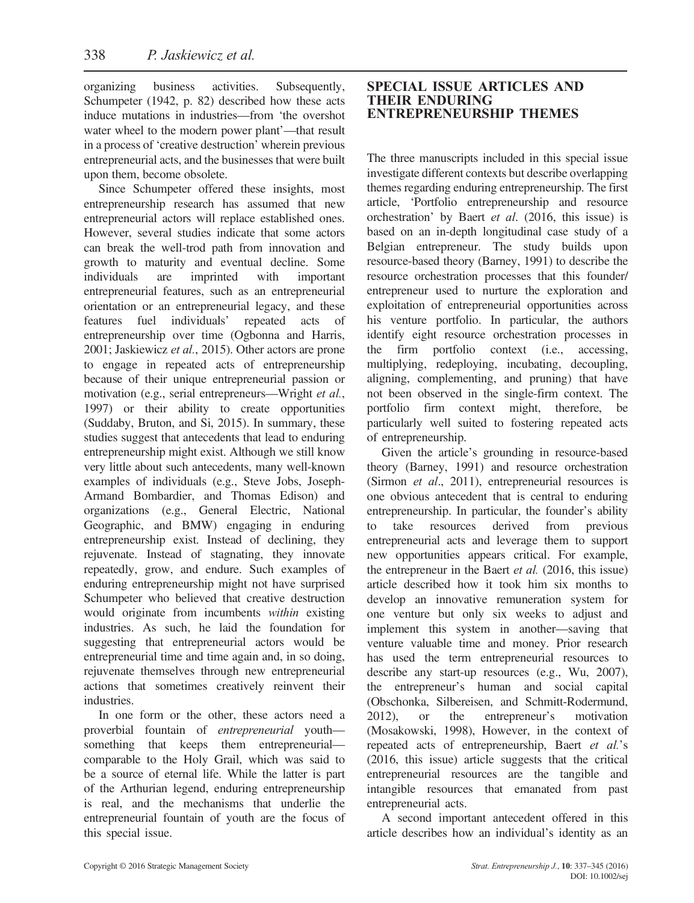organizing business activities. Subsequently, Schumpeter (1942, p. 82) described how these acts induce mutations in industries—from 'the overshot water wheel to the modern power plant'—that result in a process of 'creative destruction' wherein previous entrepreneurial acts, and the businesses that were built upon them, become obsolete.

Since Schumpeter offered these insights, most entrepreneurship research has assumed that new entrepreneurial actors will replace established ones. However, several studies indicate that some actors can break the well-trod path from innovation and growth to maturity and eventual decline. Some individuals are imprinted with important entrepreneurial features, such as an entrepreneurial orientation or an entrepreneurial legacy, and these features fuel individuals' repeated acts of entrepreneurship over time (Ogbonna and Harris, 2001; Jaskiewicz et al., 2015). Other actors are prone to engage in repeated acts of entrepreneurship because of their unique entrepreneurial passion or motivation (e.g., serial entrepreneurs—Wright et al., 1997) or their ability to create opportunities (Suddaby, Bruton, and Si, 2015). In summary, these studies suggest that antecedents that lead to enduring entrepreneurship might exist. Although we still know very little about such antecedents, many well-known examples of individuals (e.g., Steve Jobs, Joseph-Armand Bombardier, and Thomas Edison) and organizations (e.g., General Electric, National Geographic, and BMW) engaging in enduring entrepreneurship exist. Instead of declining, they rejuvenate. Instead of stagnating, they innovate repeatedly, grow, and endure. Such examples of enduring entrepreneurship might not have surprised Schumpeter who believed that creative destruction would originate from incumbents within existing industries. As such, he laid the foundation for suggesting that entrepreneurial actors would be entrepreneurial time and time again and, in so doing, rejuvenate themselves through new entrepreneurial actions that sometimes creatively reinvent their industries.

In one form or the other, these actors need a proverbial fountain of entrepreneurial youth something that keeps them entrepreneurial comparable to the Holy Grail, which was said to be a source of eternal life. While the latter is part of the Arthurian legend, enduring entrepreneurship is real, and the mechanisms that underlie the entrepreneurial fountain of youth are the focus of this special issue.

### SPECIAL ISSUE ARTICLES AND THEIR ENDURING ENTREPRENEURSHIP THEMES

The three manuscripts included in this special issue investigate different contexts but describe overlapping themes regarding enduring entrepreneurship. The first article, 'Portfolio entrepreneurship and resource orchestration' by Baert et al. (2016, this issue) is based on an in-depth longitudinal case study of a Belgian entrepreneur. The study builds upon resource-based theory (Barney, 1991) to describe the resource orchestration processes that this founder/ entrepreneur used to nurture the exploration and exploitation of entrepreneurial opportunities across his venture portfolio. In particular, the authors identify eight resource orchestration processes in the firm portfolio context (i.e., accessing, multiplying, redeploying, incubating, decoupling, aligning, complementing, and pruning) that have not been observed in the single-firm context. The portfolio firm context might, therefore, be particularly well suited to fostering repeated acts of entrepreneurship.

Given the article's grounding in resource-based theory (Barney, 1991) and resource orchestration (Sirmon et al., 2011), entrepreneurial resources is one obvious antecedent that is central to enduring entrepreneurship. In particular, the founder's ability to take resources derived from previous entrepreneurial acts and leverage them to support new opportunities appears critical. For example, the entrepreneur in the Baert et al. (2016, this issue) article described how it took him six months to develop an innovative remuneration system for one venture but only six weeks to adjust and implement this system in another—saving that venture valuable time and money. Prior research has used the term entrepreneurial resources to describe any start-up resources (e.g., Wu, 2007), the entrepreneur's human and social capital (Obschonka, Silbereisen, and Schmitt-Rodermund, 2012), or the entrepreneur's motivation (Mosakowski, 1998), However, in the context of repeated acts of entrepreneurship, Baert et al.'s (2016, this issue) article suggests that the critical entrepreneurial resources are the tangible and intangible resources that emanated from past entrepreneurial acts.

A second important antecedent offered in this article describes how an individual's identity as an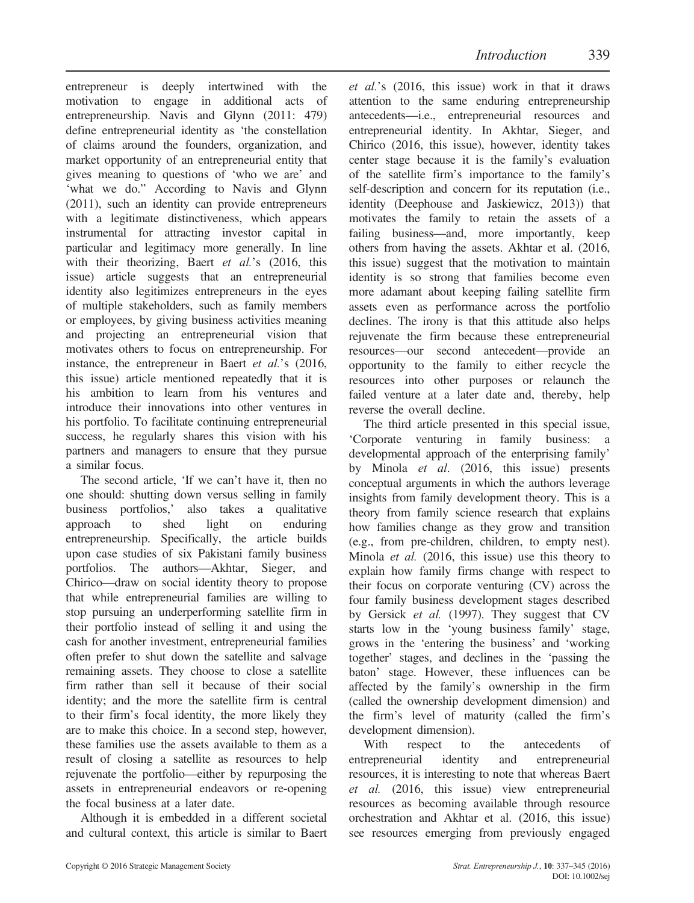entrepreneur is deeply intertwined with the motivation to engage in additional acts of entrepreneurship. Navis and Glynn (2011: 479) define entrepreneurial identity as 'the constellation of claims around the founders, organization, and market opportunity of an entrepreneurial entity that gives meaning to questions of 'who we are' and 'what we do." According to Navis and Glynn (2011), such an identity can provide entrepreneurs with a legitimate distinctiveness, which appears instrumental for attracting investor capital in particular and legitimacy more generally. In line with their theorizing, Baert *et al.*'s (2016, this issue) article suggests that an entrepreneurial identity also legitimizes entrepreneurs in the eyes of multiple stakeholders, such as family members or employees, by giving business activities meaning and projecting an entrepreneurial vision that motivates others to focus on entrepreneurship. For instance, the entrepreneur in Baert et al.'s (2016, this issue) article mentioned repeatedly that it is his ambition to learn from his ventures and introduce their innovations into other ventures in his portfolio. To facilitate continuing entrepreneurial success, he regularly shares this vision with his partners and managers to ensure that they pursue a similar focus.

The second article, 'If we can't have it, then no one should: shutting down versus selling in family business portfolios,' also takes a qualitative approach to shed light on enduring entrepreneurship. Specifically, the article builds upon case studies of six Pakistani family business portfolios. The authors—Akhtar, Sieger, and Chirico—draw on social identity theory to propose that while entrepreneurial families are willing to stop pursuing an underperforming satellite firm in their portfolio instead of selling it and using the cash for another investment, entrepreneurial families often prefer to shut down the satellite and salvage remaining assets. They choose to close a satellite firm rather than sell it because of their social identity; and the more the satellite firm is central to their firm's focal identity, the more likely they are to make this choice. In a second step, however, these families use the assets available to them as a result of closing a satellite as resources to help rejuvenate the portfolio—either by repurposing the assets in entrepreneurial endeavors or re-opening the focal business at a later date.

Although it is embedded in a different societal and cultural context, this article is similar to Baert et al.'s (2016, this issue) work in that it draws attention to the same enduring entrepreneurship antecedents—i.e., entrepreneurial resources and entrepreneurial identity. In Akhtar, Sieger, and Chirico (2016, this issue), however, identity takes center stage because it is the family's evaluation of the satellite firm's importance to the family's self-description and concern for its reputation (i.e., identity (Deephouse and Jaskiewicz, 2013)) that motivates the family to retain the assets of a failing business—and, more importantly, keep others from having the assets. Akhtar et al. (2016, this issue) suggest that the motivation to maintain identity is so strong that families become even more adamant about keeping failing satellite firm assets even as performance across the portfolio declines. The irony is that this attitude also helps rejuvenate the firm because these entrepreneurial resources—our second antecedent—provide an opportunity to the family to either recycle the resources into other purposes or relaunch the failed venture at a later date and, thereby, help reverse the overall decline.

The third article presented in this special issue, 'Corporate venturing in family business: a developmental approach of the enterprising family' by Minola et al. (2016, this issue) presents conceptual arguments in which the authors leverage insights from family development theory. This is a theory from family science research that explains how families change as they grow and transition (e.g., from pre-children, children, to empty nest). Minola et al. (2016, this issue) use this theory to explain how family firms change with respect to their focus on corporate venturing (CV) across the four family business development stages described by Gersick et al. (1997). They suggest that CV starts low in the 'young business family' stage, grows in the 'entering the business' and 'working together' stages, and declines in the 'passing the baton' stage. However, these influences can be affected by the family's ownership in the firm (called the ownership development dimension) and the firm's level of maturity (called the firm's development dimension).

With respect to the antecedents of entrepreneurial identity and entrepreneurial resources, it is interesting to note that whereas Baert et al. (2016, this issue) view entrepreneurial resources as becoming available through resource orchestration and Akhtar et al. (2016, this issue) see resources emerging from previously engaged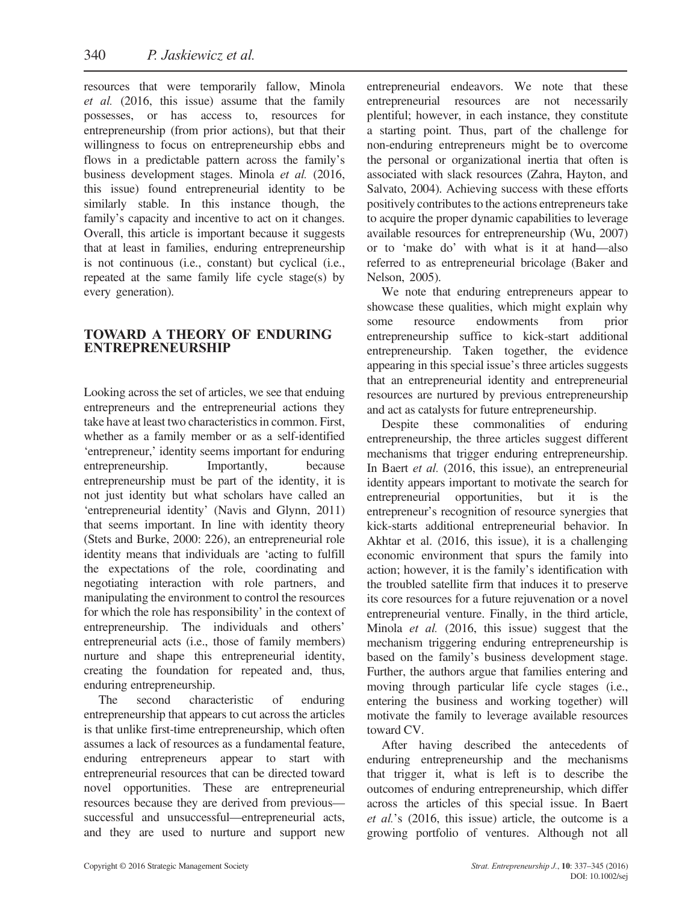resources that were temporarily fallow, Minola et al. (2016, this issue) assume that the family possesses, or has access to, resources for entrepreneurship (from prior actions), but that their willingness to focus on entrepreneurship ebbs and flows in a predictable pattern across the family's business development stages. Minola et al. (2016, this issue) found entrepreneurial identity to be similarly stable. In this instance though, the family's capacity and incentive to act on it changes. Overall, this article is important because it suggests that at least in families, enduring entrepreneurship is not continuous (i.e., constant) but cyclical (i.e., repeated at the same family life cycle stage(s) by every generation).

# TOWARD A THEORY OF ENDURING ENTREPRENEURSHIP

Looking across the set of articles, we see that enduing entrepreneurs and the entrepreneurial actions they take have at least two characteristics in common. First, whether as a family member or as a self-identified 'entrepreneur,' identity seems important for enduring entrepreneurship. Importantly, because entrepreneurship must be part of the identity, it is not just identity but what scholars have called an 'entrepreneurial identity' (Navis and Glynn, 2011) that seems important. In line with identity theory (Stets and Burke, 2000: 226), an entrepreneurial role identity means that individuals are 'acting to fulfill the expectations of the role, coordinating and negotiating interaction with role partners, and manipulating the environment to control the resources for which the role has responsibility' in the context of entrepreneurship. The individuals and others' entrepreneurial acts (i.e., those of family members) nurture and shape this entrepreneurial identity, creating the foundation for repeated and, thus, enduring entrepreneurship.

The second characteristic of enduring entrepreneurship that appears to cut across the articles is that unlike first-time entrepreneurship, which often assumes a lack of resources as a fundamental feature, enduring entrepreneurs appear to start with entrepreneurial resources that can be directed toward novel opportunities. These are entrepreneurial resources because they are derived from previous successful and unsuccessful—entrepreneurial acts, and they are used to nurture and support new

entrepreneurial endeavors. We note that these entrepreneurial resources are not necessarily plentiful; however, in each instance, they constitute a starting point. Thus, part of the challenge for non-enduring entrepreneurs might be to overcome the personal or organizational inertia that often is associated with slack resources (Zahra, Hayton, and Salvato, 2004). Achieving success with these efforts positively contributes to the actions entrepreneurs take to acquire the proper dynamic capabilities to leverage available resources for entrepreneurship (Wu, 2007) or to 'make do' with what is it at hand—also referred to as entrepreneurial bricolage (Baker and Nelson, 2005).

We note that enduring entrepreneurs appear to showcase these qualities, which might explain why some resource endowments from prior entrepreneurship suffice to kick-start additional entrepreneurship. Taken together, the evidence appearing in this special issue's three articles suggests that an entrepreneurial identity and entrepreneurial resources are nurtured by previous entrepreneurship and act as catalysts for future entrepreneurship.

Despite these commonalities of enduring entrepreneurship, the three articles suggest different mechanisms that trigger enduring entrepreneurship. In Baert et al. (2016, this issue), an entrepreneurial identity appears important to motivate the search for entrepreneurial opportunities, but it is the entrepreneur's recognition of resource synergies that kick-starts additional entrepreneurial behavior. In Akhtar et al. (2016, this issue), it is a challenging economic environment that spurs the family into action; however, it is the family's identification with the troubled satellite firm that induces it to preserve its core resources for a future rejuvenation or a novel entrepreneurial venture. Finally, in the third article, Minola *et al.* (2016, this issue) suggest that the mechanism triggering enduring entrepreneurship is based on the family's business development stage. Further, the authors argue that families entering and moving through particular life cycle stages (i.e., entering the business and working together) will motivate the family to leverage available resources toward CV.

After having described the antecedents of enduring entrepreneurship and the mechanisms that trigger it, what is left is to describe the outcomes of enduring entrepreneurship, which differ across the articles of this special issue. In Baert et al.'s (2016, this issue) article, the outcome is a growing portfolio of ventures. Although not all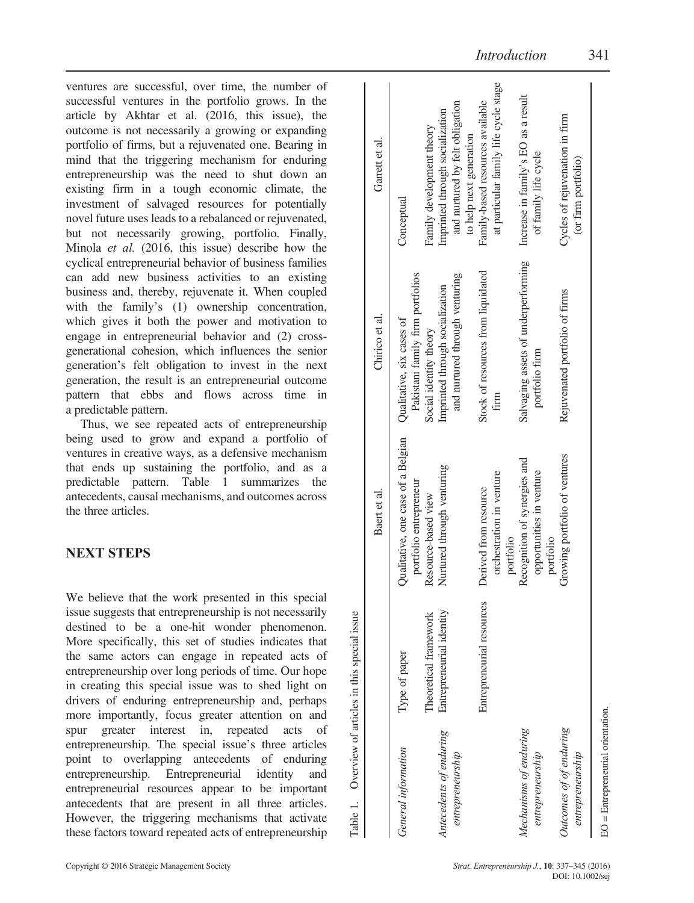ventures are successful, over time, the number of successful ventures in the portfolio grows. In the article by Akhtar et al. (2016, this issue), the outcome is not necessarily a growing or expanding portfolio of firms, but a rejuvenated one. Bearing in mind that the triggering mechanism for enduring entrepreneurship was the need to shut down an existing firm in a tough economic climate, the investment of salvaged resources for potentially novel future uses leads to a rebalanced or rejuvenated, but not necessarily growing, portfolio. Finally, Minola et al. (2016, this issue) describe how the cyclical entrepreneurial behavior of business families can add new business activities to an existing business and, thereby, rejuvenate it. When coupled with the family's (1) ownership concentration, which gives it both the power and motivation to engage in entrepreneurial behavior and (2) crossgenerational cohesion, which influences the senior generation's felt obligation to invest in the next generation, the result is an entrepreneurial outcome pattern that ebbs and flows across time in a predictable pattern.

Thus, we see repeated acts of entrepreneurship being used to grow and expand a portfolio of ventures in creative ways, as a defensive mechanism that ends up sustaining the portfolio, and as a predictable pattern. Table 1 summarizes the antecedents, causal mechanisms, and outcomes across the three articles.

# NEXT STEPS

We believe that the work presented in this special issue suggests that entrepreneurship is not necessarily destined to be a one-hit wonder phenomenon. More specifically, this set of studies indicates that the same actors can engage in repeated acts of entrepreneurship over long periods of time. Our hope in creating this special issue was to shed light on drivers of enduring entrepreneurship and, perhaps more importantly, focus greater attention on and spur greater interest in, repeated acts of entrepreneurship. The special issue's three articles point to overlapping antecedents of enduring entrepreneurship. Entrepreneurial identity and entrepreneurial resources appear to be important antecedents that are present in all three articles. However, the triggering mechanisms that activate these factors toward repeated acts of entrepreneurship

|                                             |                                                   | Baert et al.                                                 | Chirico et al.                                                | Garrett et al.                                               |
|---------------------------------------------|---------------------------------------------------|--------------------------------------------------------------|---------------------------------------------------------------|--------------------------------------------------------------|
| General information                         | Type of paper                                     | Qualitative, one case of a Belgian<br>portfolio entrepreneur | Pakistani family firm portfolios<br>Qualitative, six cases of | Conceptual                                                   |
| Antecedents of enduring                     | Entrepreneurial identity<br>Theoretical framework | Nurtured through venturing<br>Resource-based view            | Imprinted through socialization<br>Social identity theory     | Imprinted through socialization<br>Family development theory |
| entrepreneurship                            |                                                   |                                                              | and nurtured through venturing                                | and nurtured by felt obligation                              |
|                                             |                                                   |                                                              |                                                               | to help next generation                                      |
|                                             | Entrepreneurial resources                         | Derived from resource                                        | Stock of resources from liquidated                            | Family-based resources available                             |
|                                             |                                                   | orchestration in venture                                     | firm                                                          | at particular family life cycle stage                        |
|                                             |                                                   | portfolio                                                    |                                                               |                                                              |
| Mechanisms of enduring                      |                                                   | Recognition of synergies and                                 | Salvaging assets of underperforming                           | Increase in family's EO as a result                          |
| entrepreneurship                            |                                                   | opportunities in venture<br>portfolio                        | portfolio firm                                                | of family life cycle                                         |
| Outcomes of of enduring<br>entrepreneurship |                                                   | Growing portfolio of ventures                                | Rejuvenated portfolio of firms                                | Cycles of rejuvenation in firm<br>(or firm portfolio)        |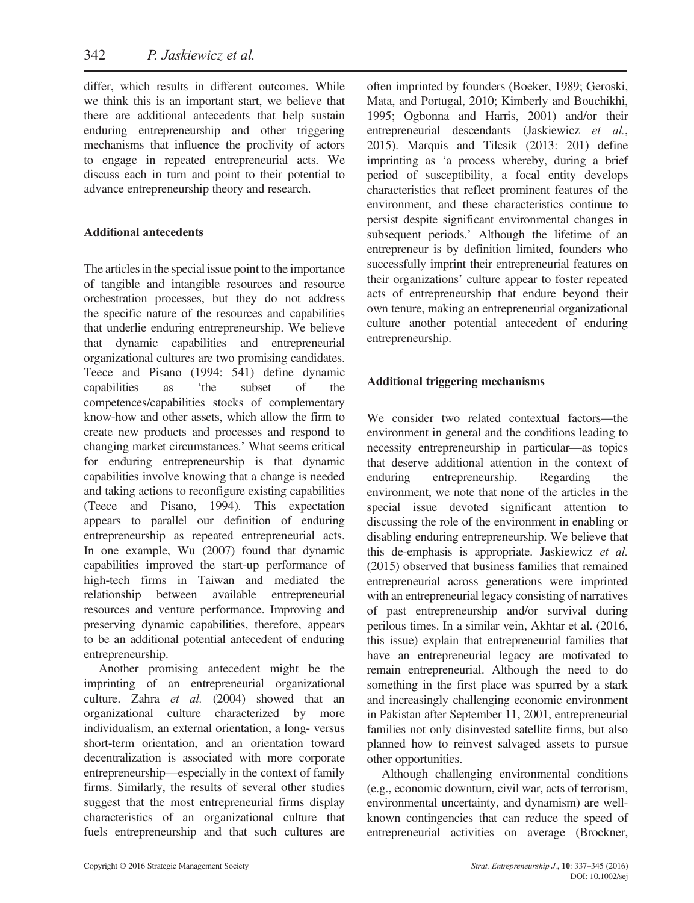differ, which results in different outcomes. While we think this is an important start, we believe that there are additional antecedents that help sustain enduring entrepreneurship and other triggering mechanisms that influence the proclivity of actors to engage in repeated entrepreneurial acts. We discuss each in turn and point to their potential to advance entrepreneurship theory and research.

#### Additional antecedents

The articles in the special issue point to the importance of tangible and intangible resources and resource orchestration processes, but they do not address the specific nature of the resources and capabilities that underlie enduring entrepreneurship. We believe that dynamic capabilities and entrepreneurial organizational cultures are two promising candidates. Teece and Pisano (1994: 541) define dynamic capabilities as 'the subset of the competences/capabilities stocks of complementary know-how and other assets, which allow the firm to create new products and processes and respond to changing market circumstances.' What seems critical for enduring entrepreneurship is that dynamic capabilities involve knowing that a change is needed and taking actions to reconfigure existing capabilities (Teece and Pisano, 1994). This expectation appears to parallel our definition of enduring entrepreneurship as repeated entrepreneurial acts. In one example, Wu (2007) found that dynamic capabilities improved the start-up performance of high-tech firms in Taiwan and mediated the relationship between available entrepreneurial resources and venture performance. Improving and preserving dynamic capabilities, therefore, appears to be an additional potential antecedent of enduring entrepreneurship.

Another promising antecedent might be the imprinting of an entrepreneurial organizational culture. Zahra et al. (2004) showed that an organizational culture characterized by more individualism, an external orientation, a long- versus short-term orientation, and an orientation toward decentralization is associated with more corporate entrepreneurship—especially in the context of family firms. Similarly, the results of several other studies suggest that the most entrepreneurial firms display characteristics of an organizational culture that fuels entrepreneurship and that such cultures are

often imprinted by founders (Boeker, 1989; Geroski, Mata, and Portugal, 2010; Kimberly and Bouchikhi, 1995; Ogbonna and Harris, 2001) and/or their entrepreneurial descendants (Jaskiewicz et al., 2015). Marquis and Tilcsik (2013: 201) define imprinting as 'a process whereby, during a brief period of susceptibility, a focal entity develops characteristics that reflect prominent features of the environment, and these characteristics continue to persist despite significant environmental changes in subsequent periods.' Although the lifetime of an entrepreneur is by definition limited, founders who successfully imprint their entrepreneurial features on their organizations' culture appear to foster repeated acts of entrepreneurship that endure beyond their own tenure, making an entrepreneurial organizational culture another potential antecedent of enduring entrepreneurship.

#### Additional triggering mechanisms

We consider two related contextual factors—the environment in general and the conditions leading to necessity entrepreneurship in particular—as topics that deserve additional attention in the context of enduring entrepreneurship. Regarding the environment, we note that none of the articles in the special issue devoted significant attention to discussing the role of the environment in enabling or disabling enduring entrepreneurship. We believe that this de-emphasis is appropriate. Jaskiewicz et al. (2015) observed that business families that remained entrepreneurial across generations were imprinted with an entrepreneurial legacy consisting of narratives of past entrepreneurship and/or survival during perilous times. In a similar vein, Akhtar et al. (2016, this issue) explain that entrepreneurial families that have an entrepreneurial legacy are motivated to remain entrepreneurial. Although the need to do something in the first place was spurred by a stark and increasingly challenging economic environment in Pakistan after September 11, 2001, entrepreneurial families not only disinvested satellite firms, but also planned how to reinvest salvaged assets to pursue other opportunities.

Although challenging environmental conditions (e.g., economic downturn, civil war, acts of terrorism, environmental uncertainty, and dynamism) are wellknown contingencies that can reduce the speed of entrepreneurial activities on average (Brockner,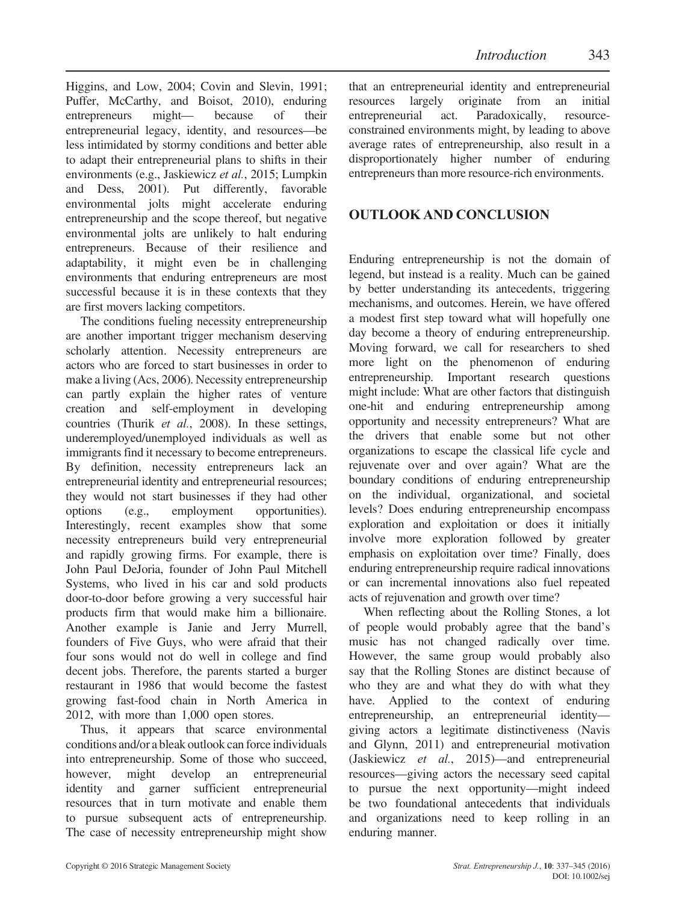Higgins, and Low, 2004; Covin and Slevin, 1991; Puffer, McCarthy, and Boisot, 2010), enduring entrepreneurs might— because of their entrepreneurial legacy, identity, and resources—be less intimidated by stormy conditions and better able to adapt their entrepreneurial plans to shifts in their environments (e.g., Jaskiewicz et al., 2015; Lumpkin and Dess, 2001). Put differently, favorable environmental jolts might accelerate enduring entrepreneurship and the scope thereof, but negative environmental jolts are unlikely to halt enduring entrepreneurs. Because of their resilience and adaptability, it might even be in challenging environments that enduring entrepreneurs are most successful because it is in these contexts that they are first movers lacking competitors.

The conditions fueling necessity entrepreneurship are another important trigger mechanism deserving scholarly attention. Necessity entrepreneurs are actors who are forced to start businesses in order to make a living (Acs, 2006). Necessity entrepreneurship can partly explain the higher rates of venture creation and self-employment in developing countries (Thurik et al., 2008). In these settings, underemployed/unemployed individuals as well as immigrants find it necessary to become entrepreneurs. By definition, necessity entrepreneurs lack an entrepreneurial identity and entrepreneurial resources; they would not start businesses if they had other options (e.g., employment opportunities). Interestingly, recent examples show that some necessity entrepreneurs build very entrepreneurial and rapidly growing firms. For example, there is John Paul DeJoria, founder of John Paul Mitchell Systems, who lived in his car and sold products door-to-door before growing a very successful hair products firm that would make him a billionaire. Another example is Janie and Jerry Murrell, founders of Five Guys, who were afraid that their four sons would not do well in college and find decent jobs. Therefore, the parents started a burger restaurant in 1986 that would become the fastest growing fast-food chain in North America in 2012, with more than 1,000 open stores.

Thus, it appears that scarce environmental conditions and/or a bleak outlook can force individuals into entrepreneurship. Some of those who succeed, however, might develop an entrepreneurial identity and garner sufficient entrepreneurial resources that in turn motivate and enable them to pursue subsequent acts of entrepreneurship. The case of necessity entrepreneurship might show that an entrepreneurial identity and entrepreneurial resources largely originate from an initial entrepreneurial act. Paradoxically, resourceconstrained environments might, by leading to above average rates of entrepreneurship, also result in a disproportionately higher number of enduring entrepreneurs than more resource-rich environments.

# OUTLOOK AND CONCLUSION

Enduring entrepreneurship is not the domain of legend, but instead is a reality. Much can be gained by better understanding its antecedents, triggering mechanisms, and outcomes. Herein, we have offered a modest first step toward what will hopefully one day become a theory of enduring entrepreneurship. Moving forward, we call for researchers to shed more light on the phenomenon of enduring entrepreneurship. Important research questions might include: What are other factors that distinguish one-hit and enduring entrepreneurship among opportunity and necessity entrepreneurs? What are the drivers that enable some but not other organizations to escape the classical life cycle and rejuvenate over and over again? What are the boundary conditions of enduring entrepreneurship on the individual, organizational, and societal levels? Does enduring entrepreneurship encompass exploration and exploitation or does it initially involve more exploration followed by greater emphasis on exploitation over time? Finally, does enduring entrepreneurship require radical innovations or can incremental innovations also fuel repeated acts of rejuvenation and growth over time?

When reflecting about the Rolling Stones, a lot of people would probably agree that the band's music has not changed radically over time. However, the same group would probably also say that the Rolling Stones are distinct because of who they are and what they do with what they have. Applied to the context of enduring entrepreneurship, an entrepreneurial identity giving actors a legitimate distinctiveness (Navis and Glynn, 2011) and entrepreneurial motivation (Jaskiewicz et al., 2015)—and entrepreneurial resources—giving actors the necessary seed capital to pursue the next opportunity—might indeed be two foundational antecedents that individuals and organizations need to keep rolling in an enduring manner.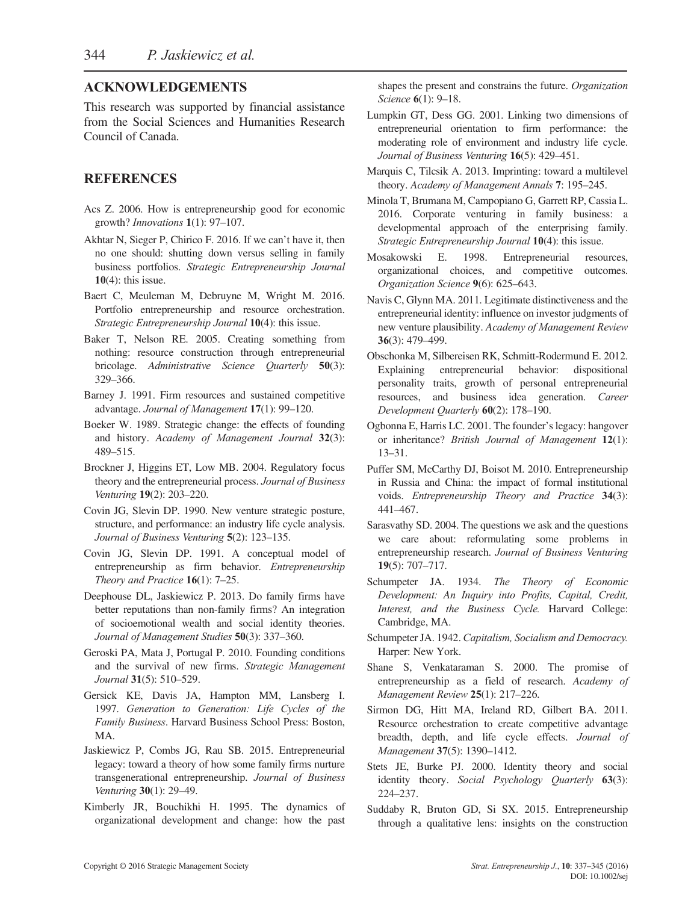#### ACKNOWLEDGEMENTS

This research was supported by financial assistance from the Social Sciences and Humanities Research Council of Canada.

#### **REFERENCES**

- Acs Z. 2006. How is entrepreneurship good for economic growth? Innovations 1(1): 97–107.
- Akhtar N, Sieger P, Chirico F. 2016. If we can't have it, then no one should: shutting down versus selling in family business portfolios. Strategic Entrepreneurship Journal  $10(4)$ : this issue.
- Baert C, Meuleman M, Debruyne M, Wright M. 2016. Portfolio entrepreneurship and resource orchestration. Strategic Entrepreneurship Journal 10(4): this issue.
- Baker T, Nelson RE. 2005. Creating something from nothing: resource construction through entrepreneurial bricolage. Administrative Science Quarterly 50(3): 329–366.
- Barney J. 1991. Firm resources and sustained competitive advantage. Journal of Management 17(1): 99–120.
- Boeker W. 1989. Strategic change: the effects of founding and history. Academy of Management Journal 32(3): 489–515.
- Brockner J, Higgins ET, Low MB. 2004. Regulatory focus theory and the entrepreneurial process. Journal of Business Venturing 19(2): 203–220.
- Covin JG, Slevin DP. 1990. New venture strategic posture, structure, and performance: an industry life cycle analysis. Journal of Business Venturing 5(2): 123–135.
- Covin JG, Slevin DP. 1991. A conceptual model of entrepreneurship as firm behavior. Entrepreneurship Theory and Practice 16(1): 7–25.
- Deephouse DL, Jaskiewicz P. 2013. Do family firms have better reputations than non-family firms? An integration of socioemotional wealth and social identity theories. Journal of Management Studies 50(3): 337–360.
- Geroski PA, Mata J, Portugal P. 2010. Founding conditions and the survival of new firms. Strategic Management Journal 31(5): 510–529.
- Gersick KE, Davis JA, Hampton MM, Lansberg I. 1997. Generation to Generation: Life Cycles of the Family Business. Harvard Business School Press: Boston, MA.
- Jaskiewicz P, Combs JG, Rau SB. 2015. Entrepreneurial legacy: toward a theory of how some family firms nurture transgenerational entrepreneurship. Journal of Business Venturing 30(1): 29–49.
- Kimberly JR, Bouchikhi H. 1995. The dynamics of organizational development and change: how the past

shapes the present and constrains the future. Organization Science **6**(1): 9–18.

- Lumpkin GT, Dess GG. 2001. Linking two dimensions of entrepreneurial orientation to firm performance: the moderating role of environment and industry life cycle. Journal of Business Venturing 16(5): 429–451.
- Marquis C, Tilcsik A. 2013. Imprinting: toward a multilevel theory. Academy of Management Annals 7: 195–245.
- Minola T, Brumana M, Campopiano G, Garrett RP, Cassia L. 2016. Corporate venturing in family business: a developmental approach of the enterprising family. Strategic Entrepreneurship Journal 10(4): this issue.
- Mosakowski E. 1998. Entrepreneurial resources, organizational choices, and competitive outcomes. Organization Science 9(6): 625–643.
- Navis C, Glynn MA. 2011. Legitimate distinctiveness and the entrepreneurial identity: influence on investor judgments of new venture plausibility. Academy of Management Review 36(3): 479–499.
- Obschonka M, Silbereisen RK, Schmitt-Rodermund E. 2012. Explaining entrepreneurial behavior: dispositional personality traits, growth of personal entrepreneurial resources, and business idea generation. Career Development Quarterly 60(2): 178–190.
- Ogbonna E, Harris LC. 2001. The founder's legacy: hangover or inheritance? British Journal of Management 12(1): 13–31.
- Puffer SM, McCarthy DJ, Boisot M. 2010. Entrepreneurship in Russia and China: the impact of formal institutional voids. Entrepreneurship Theory and Practice 34(3): 441–467.
- Sarasvathy SD. 2004. The questions we ask and the questions we care about: reformulating some problems in entrepreneurship research. Journal of Business Venturing 19(5): 707–717.
- Schumpeter JA. 1934. The Theory of Economic Development: An Inquiry into Profits, Capital, Credit, Interest, and the Business Cycle. Harvard College: Cambridge, MA.
- Schumpeter JA. 1942. Capitalism, Socialism and Democracy. Harper: New York.
- Shane S, Venkataraman S. 2000. The promise of entrepreneurship as a field of research. Academy of Management Review 25(1): 217–226.
- Sirmon DG, Hitt MA, Ireland RD, Gilbert BA. 2011. Resource orchestration to create competitive advantage breadth, depth, and life cycle effects. Journal of Management 37(5): 1390–1412.
- Stets JE, Burke PJ. 2000. Identity theory and social identity theory. Social Psychology Quarterly 63(3): 224–237.
- Suddaby R, Bruton GD, Si SX. 2015. Entrepreneurship through a qualitative lens: insights on the construction